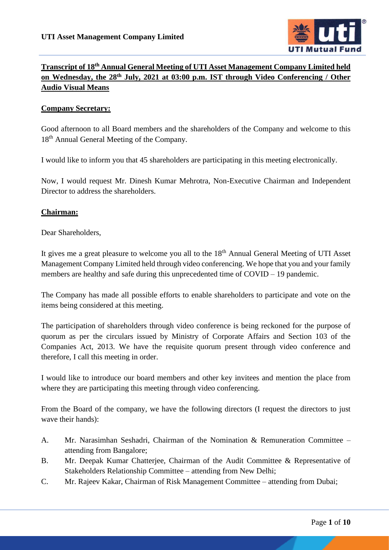

# **Transcript of 18th Annual General Meeting of UTI Asset Management Company Limited held on Wednesday, the 28th July, 2021 at 03:00 p.m. IST through Video Conferencing / Other Audio Visual Means**

## **Company Secretary:**

Good afternoon to all Board members and the shareholders of the Company and welcome to this 18<sup>th</sup> Annual General Meeting of the Company.

I would like to inform you that 45 shareholders are participating in this meeting electronically.

Now, I would request Mr. Dinesh Kumar Mehrotra, Non-Executive Chairman and Independent Director to address the shareholders.

## **Chairman:**

Dear Shareholders,

It gives me a great pleasure to welcome you all to the 18<sup>th</sup> Annual General Meeting of UTI Asset Management Company Limited held through video conferencing. We hope that you and your family members are healthy and safe during this unprecedented time of COVID – 19 pandemic.

The Company has made all possible efforts to enable shareholders to participate and vote on the items being considered at this meeting.

The participation of shareholders through video conference is being reckoned for the purpose of quorum as per the circulars issued by Ministry of Corporate Affairs and Section 103 of the Companies Act, 2013. We have the requisite quorum present through video conference and therefore, I call this meeting in order.

I would like to introduce our board members and other key invitees and mention the place from where they are participating this meeting through video conferencing.

From the Board of the company, we have the following directors (I request the directors to just wave their hands):

- A. Mr. Narasimhan Seshadri, Chairman of the Nomination & Remuneration Committee attending from Bangalore;
- B. Mr. Deepak Kumar Chatterjee, Chairman of the Audit Committee & Representative of Stakeholders Relationship Committee – attending from New Delhi;
- C. Mr. Rajeev Kakar, Chairman of Risk Management Committee attending from Dubai;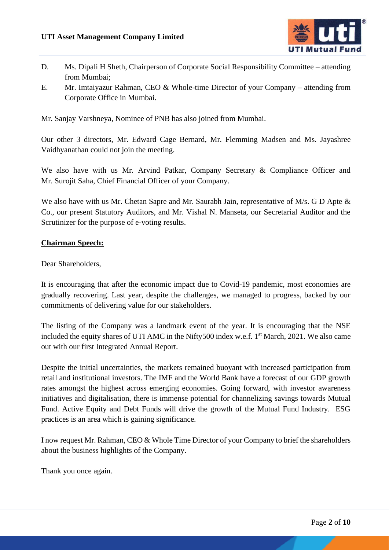

- D. Ms. Dipali H Sheth, Chairperson of Corporate Social Responsibility Committee attending from Mumbai;
- E. Mr. Imtaiyazur Rahman, CEO & Whole-time Director of your Company attending from Corporate Office in Mumbai.

Mr. Sanjay Varshneya, Nominee of PNB has also joined from Mumbai.

Our other 3 directors, Mr. Edward Cage Bernard, Mr. Flemming Madsen and Ms. Jayashree Vaidhyanathan could not join the meeting.

We also have with us Mr. Arvind Patkar, Company Secretary & Compliance Officer and Mr. Surojit Saha, Chief Financial Officer of your Company.

We also have with us Mr. Chetan Sapre and Mr. Saurabh Jain, representative of M/s. G D Apte & Co., our present Statutory Auditors, and Mr. Vishal N. Manseta, our Secretarial Auditor and the Scrutinizer for the purpose of e-voting results.

## **Chairman Speech:**

Dear Shareholders,

It is encouraging that after the economic impact due to Covid-19 pandemic, most economies are gradually recovering. Last year, despite the challenges, we managed to progress, backed by our commitments of delivering value for our stakeholders.

The listing of the Company was a landmark event of the year. It is encouraging that the NSE included the equity shares of UTI AMC in the Nifty500 index w.e.f. 1<sup>st</sup> March, 2021. We also came out with our first Integrated Annual Report.

Despite the initial uncertainties, the markets remained buoyant with increased participation from retail and institutional investors. The IMF and the World Bank have a forecast of our GDP growth rates amongst the highest across emerging economies. Going forward, with investor awareness initiatives and digitalisation, there is immense potential for channelizing savings towards Mutual Fund. Active Equity and Debt Funds will drive the growth of the Mutual Fund Industry. ESG practices is an area which is gaining significance.

I now request Mr. Rahman, CEO & Whole Time Director of your Company to brief the shareholders about the business highlights of the Company.

Thank you once again.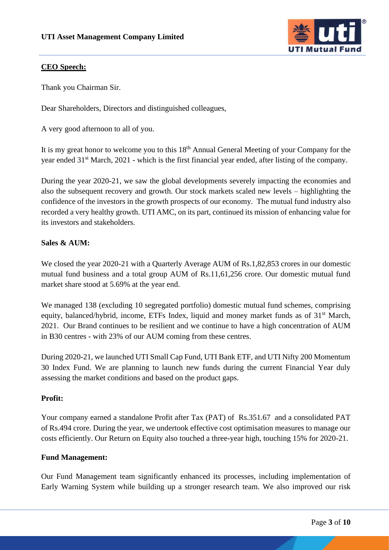

## **CEO Speech:**

Thank you Chairman Sir.

Dear Shareholders, Directors and distinguished colleagues,

A very good afternoon to all of you.

It is my great honor to welcome you to this  $18<sup>th</sup>$  Annual General Meeting of your Company for the year ended 31<sup>st</sup> March, 2021 - which is the first financial year ended, after listing of the company.

During the year 2020-21, we saw the global developments severely impacting the economies and also the subsequent recovery and growth. Our stock markets scaled new levels – highlighting the confidence of the investors in the growth prospects of our economy. The mutual fund industry also recorded a very healthy growth. UTI AMC, on its part, continued its mission of enhancing value for its investors and stakeholders.

## **Sales & AUM:**

We closed the year 2020-21 with a Quarterly Average AUM of Rs.1,82,853 crores in our domestic mutual fund business and a total group AUM of Rs.11,61,256 crore. Our domestic mutual fund market share stood at 5.69% at the year end.

We managed 138 (excluding 10 segregated portfolio) domestic mutual fund schemes, comprising equity, balanced/hybrid, income, ETFs Index, liquid and money market funds as of 31<sup>st</sup> March, 2021. Our Brand continues to be resilient and we continue to have a high concentration of AUM in B30 centres - with 23% of our AUM coming from these centres.

During 2020-21, we launched UTI Small Cap Fund, UTI Bank ETF, and UTI Nifty 200 Momentum 30 Index Fund. We are planning to launch new funds during the current Financial Year duly assessing the market conditions and based on the product gaps.

#### **Profit:**

Your company earned a standalone Profit after Tax (PAT) of Rs.351.67 and a consolidated PAT of Rs.494 crore. During the year, we undertook effective cost optimisation measures to manage our costs efficiently. Our Return on Equity also touched a three-year high, touching 15% for 2020-21.

#### **Fund Management:**

Our Fund Management team significantly enhanced its processes, including implementation of Early Warning System while building up a stronger research team. We also improved our risk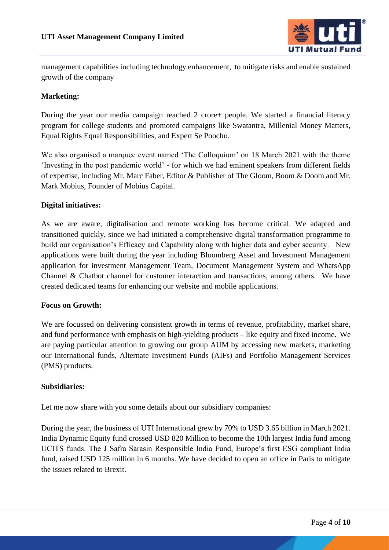

management capabilities including technology enhancement, to mitigate risks and enable sustained growth of the company

## **Marketing:**

During the year our media campaign reached 2 crore+ people. We started a financial literacy program for college students and promoted campaigns like Swatantra, Millenial Money Matters, Equal Rights Equal Responsibilities, and Expert Se Poocho.

We also organised a marquee event named 'The Colloquium' on 18 March 2021 with the theme 'Investing in the post pandemic world' - for which we had eminent speakers from different fields of expertise, including Mr. Marc Faber, Editor & Publisher of The Gloom, Boom & Doom and Mr. Mark Mobius, Founder of Mobius Capital.

## **Digital initiatives:**

As we are aware, digitalisation and remote working has become critical. We adapted and transitioned quickly, since we had initiated a comprehensive digital transformation programme to build our organisation's Efficacy and Capability along with higher data and cyber security. New applications were built during the year including Bloomberg Asset and Investment Management application for investment Management Team, Document Management System and WhatsApp Channel & Chatbot channel for customer interaction and transactions, among others. We have created dedicated teams for enhancing our website and mobile applications.

#### **Focus on Growth:**

We are focussed on delivering consistent growth in terms of revenue, profitability, market share, and fund performance with emphasis on high-yielding products – like equity and fixed income. We are paying particular attention to growing our group AUM by accessing new markets, marketing our International funds, Alternate Investment Funds (AIFs) and Portfolio Management Services (PMS) products.

#### **Subsidiaries:**

Let me now share with you some details about our subsidiary companies:

During the year, the business of UTI International grew by 70% to USD 3.65 billion in March 2021. India Dynamic Equity fund crossed USD 820 Million to become the 10th largest India fund among UCITS funds. The J Safra Sarasin Responsible India Fund, Europe's first ESG compliant India fund, raised USD 125 million in 6 months. We have decided to open an office in Paris to mitigate the issues related to Brexit.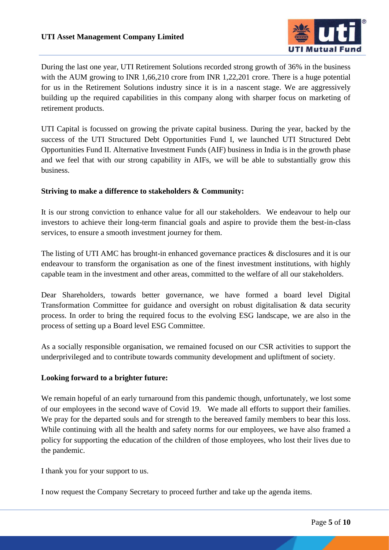

During the last one year, UTI Retirement Solutions recorded strong growth of 36% in the business with the AUM growing to INR 1,66,210 crore from INR 1,22,201 crore. There is a huge potential for us in the Retirement Solutions industry since it is in a nascent stage. We are aggressively building up the required capabilities in this company along with sharper focus on marketing of retirement products.

UTI Capital is focussed on growing the private capital business. During the year, backed by the success of the UTI Structured Debt Opportunities Fund I, we launched UTI Structured Debt Opportunities Fund II. Alternative Investment Funds (AIF) business in India is in the growth phase and we feel that with our strong capability in AIFs, we will be able to substantially grow this business.

#### **Striving to make a difference to stakeholders & Community:**

It is our strong conviction to enhance value for all our stakeholders. We endeavour to help our investors to achieve their long-term financial goals and aspire to provide them the best-in-class services, to ensure a smooth investment journey for them.

The listing of UTI AMC has brought-in enhanced governance practices & disclosures and it is our endeavour to transform the organisation as one of the finest investment institutions, with highly capable team in the investment and other areas, committed to the welfare of all our stakeholders.

Dear Shareholders, towards better governance, we have formed a board level Digital Transformation Committee for guidance and oversight on robust digitalisation & data security process. In order to bring the required focus to the evolving ESG landscape, we are also in the process of setting up a Board level ESG Committee.

As a socially responsible organisation, we remained focused on our CSR activities to support the underprivileged and to contribute towards community development and upliftment of society.

#### **Looking forward to a brighter future:**

We remain hopeful of an early turnaround from this pandemic though, unfortunately, we lost some of our employees in the second wave of Covid 19. We made all efforts to support their families. We pray for the departed souls and for strength to the bereaved family members to bear this loss. While continuing with all the health and safety norms for our employees, we have also framed a policy for supporting the education of the children of those employees, who lost their lives due to the pandemic.

I thank you for your support to us.

I now request the Company Secretary to proceed further and take up the agenda items.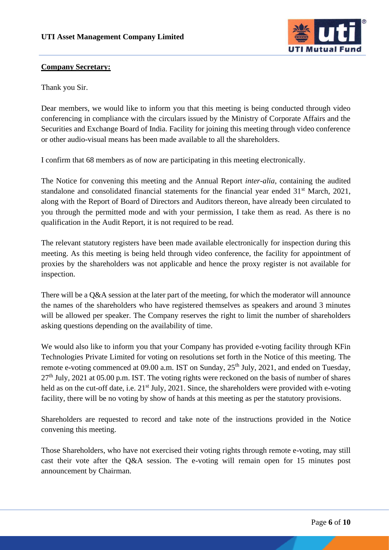

## **Company Secretary:**

Thank you Sir.

Dear members, we would like to inform you that this meeting is being conducted through video conferencing in compliance with the circulars issued by the Ministry of Corporate Affairs and the Securities and Exchange Board of India. Facility for joining this meeting through video conference or other audio-visual means has been made available to all the shareholders.

I confirm that 68 members as of now are participating in this meeting electronically.

The Notice for convening this meeting and the Annual Report *inter-alia*, containing the audited standalone and consolidated financial statements for the financial year ended 31<sup>st</sup> March, 2021, along with the Report of Board of Directors and Auditors thereon, have already been circulated to you through the permitted mode and with your permission, I take them as read. As there is no qualification in the Audit Report, it is not required to be read.

The relevant statutory registers have been made available electronically for inspection during this meeting. As this meeting is being held through video conference, the facility for appointment of proxies by the shareholders was not applicable and hence the proxy register is not available for inspection.

There will be a Q&A session at the later part of the meeting, for which the moderator will announce the names of the shareholders who have registered themselves as speakers and around 3 minutes will be allowed per speaker. The Company reserves the right to limit the number of shareholders asking questions depending on the availability of time.

We would also like to inform you that your Company has provided e-voting facility through KFin Technologies Private Limited for voting on resolutions set forth in the Notice of this meeting. The remote e-voting commenced at 09.00 a.m. IST on Sunday,  $25<sup>th</sup>$  July, 2021, and ended on Tuesday,  $27<sup>th</sup>$  July, 2021 at 05.00 p.m. IST. The voting rights were reckoned on the basis of number of shares held as on the cut-off date, i.e.  $21^{st}$  July, 2021. Since, the shareholders were provided with e-voting facility, there will be no voting by show of hands at this meeting as per the statutory provisions.

Shareholders are requested to record and take note of the instructions provided in the Notice convening this meeting.

Those Shareholders, who have not exercised their voting rights through remote e-voting, may still cast their vote after the Q&A session. The e-voting will remain open for 15 minutes post announcement by Chairman.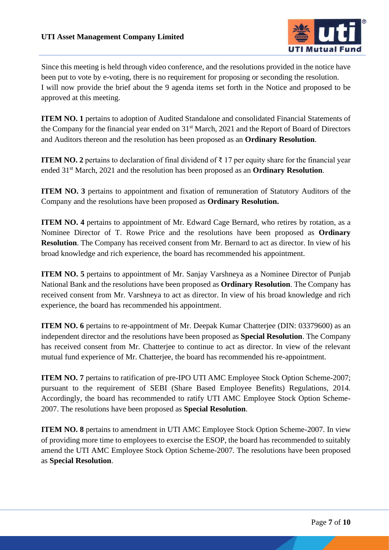

Since this meeting is held through video conference, and the resolutions provided in the notice have been put to vote by e-voting, there is no requirement for proposing or seconding the resolution. I will now provide the brief about the 9 agenda items set forth in the Notice and proposed to be approved at this meeting.

**ITEM NO. 1** pertains to adoption of Audited Standalone and consolidated Financial Statements of the Company for the financial year ended on 31st March, 2021 and the Report of Board of Directors and Auditors thereon and the resolution has been proposed as an **Ordinary Resolution**.

**ITEM NO. 2** pertains to declaration of final dividend of ₹ 17 per equity share for the financial year ended 31st March, 2021 and the resolution has been proposed as an **Ordinary Resolution**.

**ITEM NO. 3** pertains to appointment and fixation of remuneration of Statutory Auditors of the Company and the resolutions have been proposed as **Ordinary Resolution.**

**ITEM NO. 4** pertains to appointment of Mr. Edward Cage Bernard, who retires by rotation, as a Nominee Director of T. Rowe Price and the resolutions have been proposed as **Ordinary Resolution**. The Company has received consent from Mr. Bernard to act as director. In view of his broad knowledge and rich experience, the board has recommended his appointment.

**ITEM NO. 5** pertains to appointment of Mr. Sanjay Varshneya as a Nominee Director of Punjab National Bank and the resolutions have been proposed as **Ordinary Resolution**. The Company has received consent from Mr. Varshneya to act as director. In view of his broad knowledge and rich experience, the board has recommended his appointment.

**ITEM NO. 6** pertains to re-appointment of Mr. Deepak Kumar Chatterjee (DIN: 03379600) as an independent director and the resolutions have been proposed as **Special Resolution**. The Company has received consent from Mr. Chatterjee to continue to act as director. In view of the relevant mutual fund experience of Mr. Chatterjee, the board has recommended his re-appointment.

**ITEM NO. 7** pertains to ratification of pre-IPO UTI AMC Employee Stock Option Scheme-2007; pursuant to the requirement of SEBI (Share Based Employee Benefits) Regulations, 2014. Accordingly, the board has recommended to ratify UTI AMC Employee Stock Option Scheme-2007. The resolutions have been proposed as **Special Resolution**.

**ITEM NO. 8** pertains to amendment in UTI AMC Employee Stock Option Scheme-2007. In view of providing more time to employees to exercise the ESOP, the board has recommended to suitably amend the UTI AMC Employee Stock Option Scheme-2007. The resolutions have been proposed as **Special Resolution**.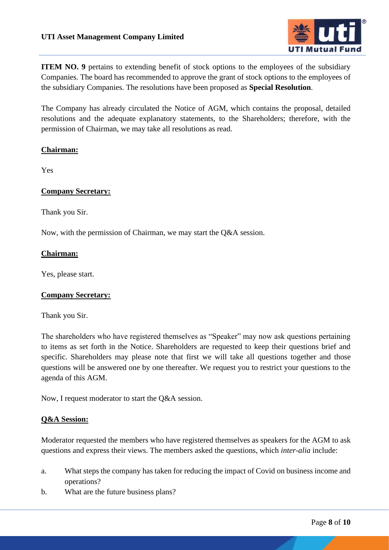

**ITEM NO. 9** pertains to extending benefit of stock options to the employees of the subsidiary Companies. The board has recommended to approve the grant of stock options to the employees of the subsidiary Companies. The resolutions have been proposed as **Special Resolution**.

The Company has already circulated the Notice of AGM, which contains the proposal, detailed resolutions and the adequate explanatory statements, to the Shareholders; therefore, with the permission of Chairman, we may take all resolutions as read.

## **Chairman:**

Yes

## **Company Secretary:**

Thank you Sir.

Now, with the permission of Chairman, we may start the Q&A session.

## **Chairman:**

Yes, please start.

## **Company Secretary:**

Thank you Sir.

The shareholders who have registered themselves as "Speaker" may now ask questions pertaining to items as set forth in the Notice. Shareholders are requested to keep their questions brief and specific. Shareholders may please note that first we will take all questions together and those questions will be answered one by one thereafter. We request you to restrict your questions to the agenda of this AGM.

Now, I request moderator to start the Q&A session.

#### **Q&A Session:**

Moderator requested the members who have registered themselves as speakers for the AGM to ask questions and express their views. The members asked the questions, which *inter-alia* include:

- a. What steps the company has taken for reducing the impact of Covid on business income and operations?
- b. What are the future business plans?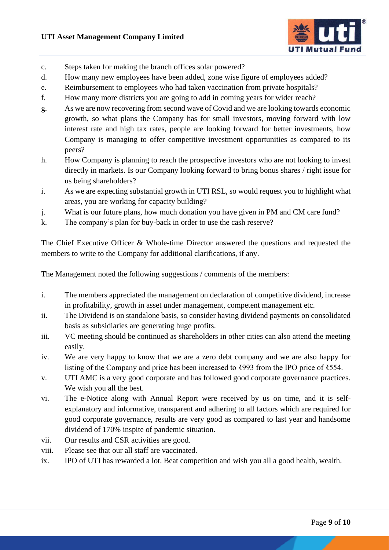

- c. Steps taken for making the branch offices solar powered?
- d. How many new employees have been added, zone wise figure of employees added?
- e. Reimbursement to employees who had taken vaccination from private hospitals?
- f. How many more districts you are going to add in coming years for wider reach?
- g. As we are now recovering from second wave of Covid and we are looking towards economic growth, so what plans the Company has for small investors, moving forward with low interest rate and high tax rates, people are looking forward for better investments, how Company is managing to offer competitive investment opportunities as compared to its peers?
- h. How Company is planning to reach the prospective investors who are not looking to invest directly in markets. Is our Company looking forward to bring bonus shares / right issue for us being shareholders?
- i. As we are expecting substantial growth in UTI RSL, so would request you to highlight what areas, you are working for capacity building?
- j. What is our future plans, how much donation you have given in PM and CM care fund?
- k. The company's plan for buy-back in order to use the cash reserve?

The Chief Executive Officer & Whole-time Director answered the questions and requested the members to write to the Company for additional clarifications, if any.

The Management noted the following suggestions / comments of the members:

- i. The members appreciated the management on declaration of competitive dividend, increase in profitability, growth in asset under management, competent management etc.
- ii. The Dividend is on standalone basis, so consider having dividend payments on consolidated basis as subsidiaries are generating huge profits.
- iii. VC meeting should be continued as shareholders in other cities can also attend the meeting easily.
- iv. We are very happy to know that we are a zero debt company and we are also happy for listing of the Company and price has been increased to ₹993 from the IPO price of ₹554.
- v. UTI AMC is a very good corporate and has followed good corporate governance practices. We wish you all the best.
- vi. The e-Notice along with Annual Report were received by us on time, and it is selfexplanatory and informative, transparent and adhering to all factors which are required for good corporate governance, results are very good as compared to last year and handsome dividend of 170% inspite of pandemic situation.
- vii. Our results and CSR activities are good.
- viii. Please see that our all staff are vaccinated.
- ix. IPO of UTI has rewarded a lot. Beat competition and wish you all a good health, wealth.